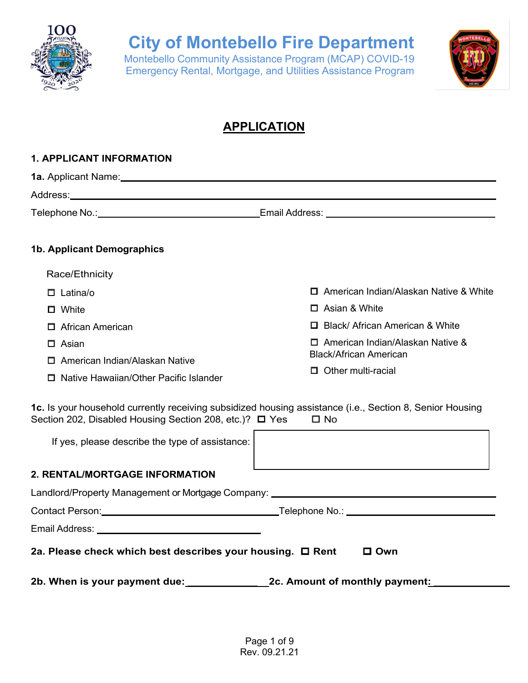

Montebello Community Assistance Program (MCAP) COVID-19 Emergency Rental, Mortgage, and Utilities Assistance Program



### **APPLICATION**

| <b>1. APPLICANT INFORMATION</b>                                                                                                                                     |                                                            |
|---------------------------------------------------------------------------------------------------------------------------------------------------------------------|------------------------------------------------------------|
|                                                                                                                                                                     |                                                            |
|                                                                                                                                                                     |                                                            |
|                                                                                                                                                                     |                                                            |
| <b>1b. Applicant Demographics</b>                                                                                                                                   |                                                            |
| Race/Ethnicity                                                                                                                                                      |                                                            |
| $\Box$ Latina/o                                                                                                                                                     | □ American Indian/Alaskan Native & White                   |
| $\Box$ White                                                                                                                                                        | $\Box$ Asian & White                                       |
| 口 African American                                                                                                                                                  | □ Black/ African American & White                          |
| $\Box$ Asian                                                                                                                                                        | $\Box$ American Indian/Alaskan Native &                    |
| $\Box$ American Indian/Alaskan Native                                                                                                                               | <b>Black/African American</b><br>$\Box$ Other multi-racial |
| $\Box$ Native Hawaiian/Other Pacific Islander                                                                                                                       |                                                            |
| 1c. Is your household currently receiving subsidized housing assistance (i.e., Section 8, Senior Housing<br>Section 202, Disabled Housing Section 208, etc.)? □ Yes | $\square$ No                                               |
| If yes, please describe the type of assistance:                                                                                                                     |                                                            |
| <b>2. RENTAL/MORTGAGE INFORMATION</b>                                                                                                                               |                                                            |
| Landlord/Property Management or Mortgage Company: Landlord/Croperty Management or Mortgage Company:                                                                 |                                                            |
| Contact Person: Note and Society and Society and Telephone No.: Note and Society and Society and Society and S                                                      |                                                            |
|                                                                                                                                                                     |                                                            |
| 2a. Please check which best describes your housing. □ Rent                                                                                                          | $\square$ Own                                              |
| 2b. When is your payment due: 2c. Amount of monthly payment:                                                                                                        |                                                            |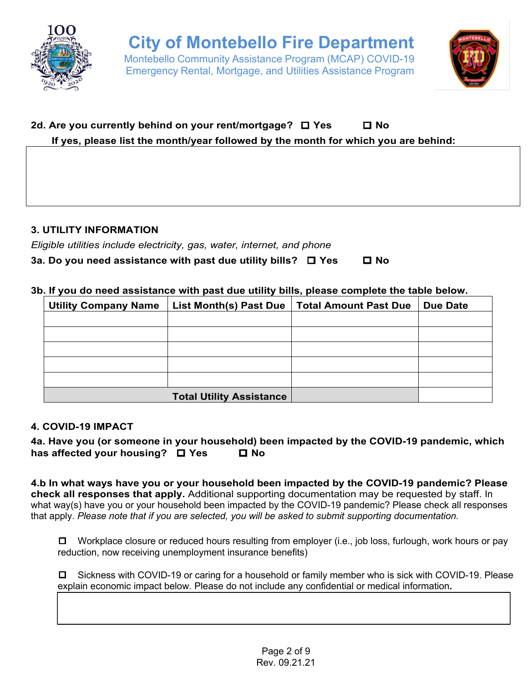

Emergency Rental, Mortgage, and Utilities Assistance Program



### **2d. Are you currently behind on your rent/mortgage?** ☐ **Yes** ☐ **No If yes, please list the month/year followed by the month for which you are behind:**

#### **3. UTILITY INFORMATION**

*Eligible utilities include electricity, gas, water, internet, and phone*

| 3a. Do you need assistance with past due utility bills? $\square$ Yes |  |  | $\square$ No |
|-----------------------------------------------------------------------|--|--|--------------|
|                                                                       |  |  |              |

#### **3b. If you do need assistance with past due utility bills, please complete the table below.**

| <b>Utility Company Name</b> | List Month(s) Past Due          | <b>Total Amount Past Due</b> | <b>Due Date</b> |
|-----------------------------|---------------------------------|------------------------------|-----------------|
|                             |                                 |                              |                 |
|                             |                                 |                              |                 |
|                             |                                 |                              |                 |
|                             |                                 |                              |                 |
|                             |                                 |                              |                 |
|                             | <b>Total Utility Assistance</b> |                              |                 |

#### **4. COVID-19 IMPACT**

**4a. Have you (or someone in your household) been impacted by the COVID-19 pandemic, which has affected your housing?** ☐ **Yes** ☐ **No**

**4.b In what ways have you or your household been impacted by the COVID-19 pandemic? Please check all responses that apply.** Additional supporting documentation may be requested by staff. In what way(s) have you or your household been impacted by the COVID-19 pandemic? Please check all responses that apply. *Please note that if you are selected, you will be asked to submit supporting documentation.*

☐ Workplace closure or reduced hours resulting from employer (i.e., job loss, furlough, work hours or pay reduction, now receiving unemployment insurance benefits)

☐ Sickness with COVID-19 or caring for a household or family member who is sick with COVID-19. Please explain economic impact below. Please do not include any confidential or medical information**.**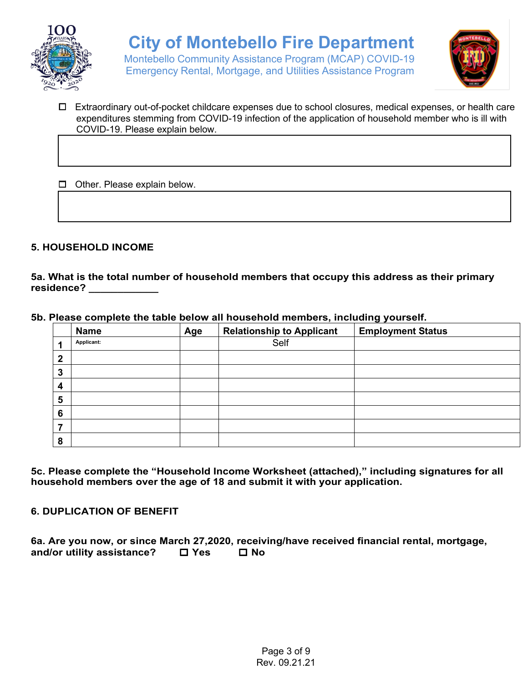

Montebello Community Assistance Program (MCAP) COVID-19 Emergency Rental, Mortgage, and Utilities Assistance Program



☐ Extraordinary out-of-pocket childcare expenses due to school closures, medical expenses, or health care expenditures stemming from COVID-19 infection of the application of household member who is ill with COVID-19. Please explain below.

☐ Other. Please explain below.

#### **5. HOUSEHOLD INCOME**

**5a. What is the total number of household members that occupy this address as their primary residence? \_\_\_\_\_\_\_\_\_\_\_\_**

**5b. Please complete the table below all household members, including yourself.** 

|   | <b>Name</b> | Age | <b>Relationship to Applicant</b> | <b>Employment Status</b> |
|---|-------------|-----|----------------------------------|--------------------------|
| 4 | Applicant:  |     | Self                             |                          |
| 2 |             |     |                                  |                          |
| 3 |             |     |                                  |                          |
| 4 |             |     |                                  |                          |
| 5 |             |     |                                  |                          |
| 6 |             |     |                                  |                          |
| 7 |             |     |                                  |                          |
| 8 |             |     |                                  |                          |

**5c. Please complete the "Household Income Worksheet (attached)," including signatures for all household members over the age of 18 and submit it with your application.** 

**6. DUPLICATION OF BENEFIT**

**6a. Are you now, or since March 27,2020, receiving/have received financial rental, mortgage, and/or utility assistance?** ☐ **Yes** ☐ **No**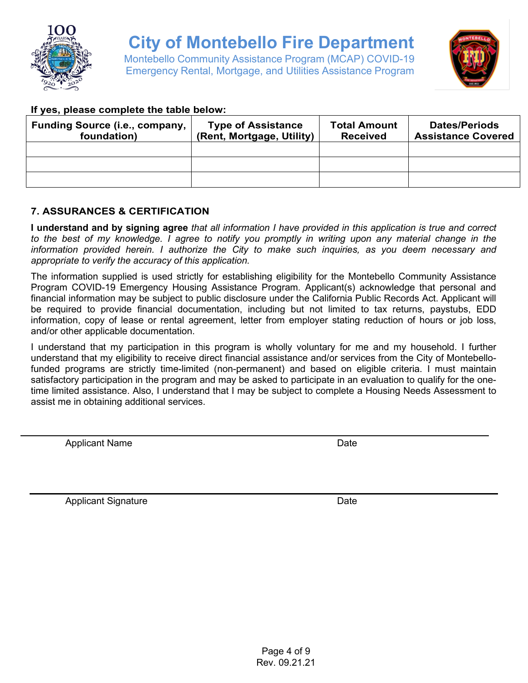

Montebello Community Assistance Program (MCAP) COVID-19 Emergency Rental, Mortgage, and Utilities Assistance Program



#### **If yes, please complete the table below:**

| <b>Funding Source (i.e., company,</b><br>foundation) | <b>Type of Assistance</b><br>(Rent, Mortgage, Utility) | <b>Total Amount</b><br><b>Received</b> | <b>Dates/Periods</b><br><b>Assistance Covered</b> |
|------------------------------------------------------|--------------------------------------------------------|----------------------------------------|---------------------------------------------------|
|                                                      |                                                        |                                        |                                                   |
|                                                      |                                                        |                                        |                                                   |
|                                                      |                                                        |                                        |                                                   |

### **7. ASSURANCES & CERTIFICATION**

**I understand and by signing agree** *that all information I have provided in this application is true and correct to the best of my knowledge. I agree to notify you promptly in writing upon any material change in the information provided herein. I authorize the City to make such inquiries, as you deem necessary and appropriate to verify the accuracy of this application.*

The information supplied is used strictly for establishing eligibility for the Montebello Community Assistance Program COVID-19 Emergency Housing Assistance Program. Applicant(s) acknowledge that personal and financial information may be subject to public disclosure under the California Public Records Act. Applicant will be required to provide financial documentation, including but not limited to tax returns, paystubs, EDD information, copy of lease or rental agreement, letter from employer stating reduction of hours or job loss, and/or other applicable documentation.

I understand that my participation in this program is wholly voluntary for me and my household. I further understand that my eligibility to receive direct financial assistance and/or services from the City of Montebellofunded programs are strictly time-limited (non-permanent) and based on eligible criteria. I must maintain satisfactory participation in the program and may be asked to participate in an evaluation to qualify for the onetime limited assistance. Also, I understand that I may be subject to complete a Housing Needs Assessment to assist me in obtaining additional services.

Applicant Name Date

Applicant Signature **Date**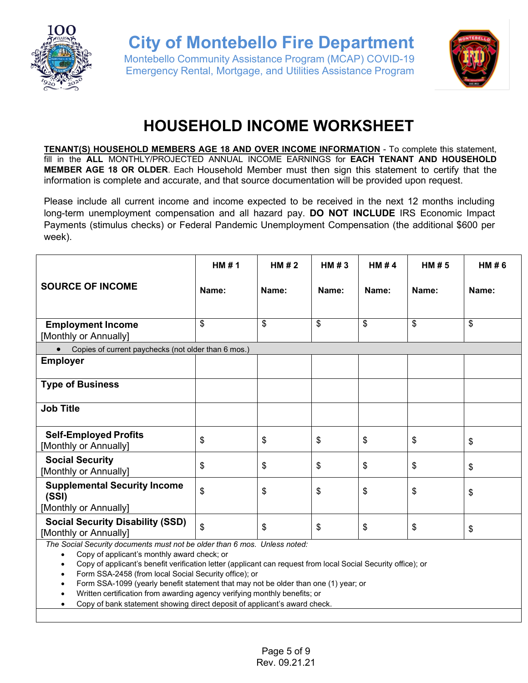

Montebello Community Assistance Program (MCAP) COVID-19 Emergency Rental, Mortgage, and Utilities Assistance Program



## **HOUSEHOLD INCOME WORKSHEET**

**TENANT(S) HOUSEHOLD MEMBERS AGE 18 AND OVER INCOME INFORMATION** - To complete this statement, fill in the **ALL** MONTHLY/PROJECTED ANNUAL INCOME EARNINGS for **EACH TENANT AND HOUSEHOLD MEMBER AGE 18 OR OLDER**. Each Household Member must then sign this statement to certify that the information is complete and accurate, and that source documentation will be provided upon request.

Please include all current income and income expected to be received in the next 12 months including long-term unemployment compensation and all hazard pay. **DO NOT INCLUDE** IRS Economic Impact Payments (stimulus checks) or Federal Pandemic Unemployment Compensation (the additional \$600 per week).

|                                                                       | HM#1  | HM#2  | HM $#3$ | HM $#4$ | HM#5  | HM#6  |
|-----------------------------------------------------------------------|-------|-------|---------|---------|-------|-------|
| <b>SOURCE OF INCOME</b>                                               | Name: | Name: | Name:   | Name:   | Name: | Name: |
| <b>Employment Income</b><br>[Monthly or Annually]                     | \$    | \$    | \$      | \$      | \$    | \$    |
| Copies of current paychecks (not older than 6 mos.)<br>$\bullet$      |       |       |         |         |       |       |
| <b>Employer</b>                                                       |       |       |         |         |       |       |
| <b>Type of Business</b>                                               |       |       |         |         |       |       |
| <b>Job Title</b>                                                      |       |       |         |         |       |       |
| <b>Self-Employed Profits</b><br>[Monthly or Annually]                 | \$    | \$    | \$      | \$      | \$    | \$    |
| <b>Social Security</b><br>[Monthly or Annually]                       | \$    | \$    | \$      | \$      | \$    | \$    |
| <b>Supplemental Security Income</b><br>(SSI)<br>[Monthly or Annually] | \$    | \$    | \$      | \$      | \$    | \$    |
| <b>Social Security Disability (SSD)</b><br>[Monthly or Annually]      | \$    | \$    | \$      | \$      | \$    | \$    |

*The Social Security documents must not be older than 6 mos. Unless noted:*

• Copy of applicant's monthly award check; or

• Copy of applicant's benefit verification letter (applicant can request from local Social Security office); or

• Form SSA-2458 (from local Social Security office); or

• Form SSA-1099 (yearly benefit statement that may not be older than one (1) year; or

• Written certification from awarding agency verifying monthly benefits; or

• Copy of bank statement showing direct deposit of applicant's award check.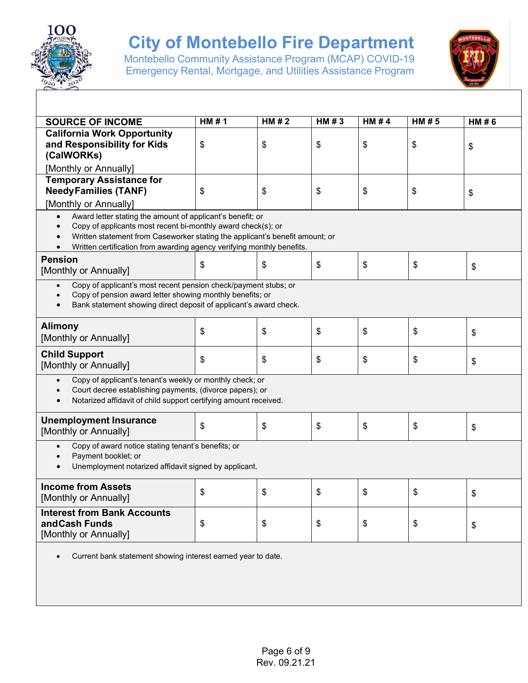

Montebello Community Assistance Program (MCAP) COVID-19 Emergency Rental, Mortgage, and Utilities Assistance Program



| <b>SOURCE OF INCOME</b>                                                                                                                                                                                                                                                                                        | HM#1 | HM#2 | HM#3 | HM#4 | HM#5 | HM#6 |
|----------------------------------------------------------------------------------------------------------------------------------------------------------------------------------------------------------------------------------------------------------------------------------------------------------------|------|------|------|------|------|------|
| <b>California Work Opportunity</b><br>and Responsibility for Kids<br>(CalWORKs)<br>[Monthly or Annually]                                                                                                                                                                                                       | \$   | \$   | \$   | \$   | \$   | \$   |
| <b>Temporary Assistance for</b>                                                                                                                                                                                                                                                                                |      |      |      |      |      |      |
| <b>NeedyFamilies (TANF)</b>                                                                                                                                                                                                                                                                                    | \$   | \$   | \$   | \$   | \$   | \$   |
| [Monthly or Annually]                                                                                                                                                                                                                                                                                          |      |      |      |      |      |      |
| Award letter stating the amount of applicant's benefit; or<br>$\bullet$<br>Copy of applicants most recent bi-monthly award check(s); or<br>$\bullet$<br>Written statement from Caseworker stating the applicant's benefit amount; or<br>Written certification from awarding agency verifying monthly benefits. |      |      |      |      |      |      |
| <b>Pension</b><br>[Monthly or Annually]                                                                                                                                                                                                                                                                        | \$   | \$   | \$   | \$   | \$   | \$   |
| Copy of applicant's most recent pension check/payment stubs; or<br>$\bullet$<br>Copy of pension award letter showing monthly benefits; or<br>Bank statement showing direct deposit of applicant's award check.                                                                                                 |      |      |      |      |      |      |
| <b>Alimony</b><br>[Monthly or Annually]                                                                                                                                                                                                                                                                        | \$   | \$   | \$   | \$   | \$   | \$   |
| <b>Child Support</b><br>[Monthly or Annually]                                                                                                                                                                                                                                                                  | \$   | \$   | \$   | \$   | \$   | \$   |
| Copy of applicant's tenant's weekly or monthly check; or<br>$\bullet$<br>Court decree establishing payments, (divorce papers); or<br>$\bullet$<br>Notarized affidavit of child support certifying amount received.<br>$\bullet$                                                                                |      |      |      |      |      |      |
| <b>Unemployment Insurance</b><br>[Monthly or Annually]                                                                                                                                                                                                                                                         | \$   | \$   | \$   | \$   | \$   | \$   |
| Copy of award notice stating tenant's benefits; or<br>$\bullet$<br>Payment booklet; or<br>$\bullet$<br>Unemployment notarized affidavit signed by applicant.                                                                                                                                                   |      |      |      |      |      |      |
| <b>Income from Assets</b><br>[Monthly or Annually]                                                                                                                                                                                                                                                             | \$   | \$   | \$   | \$   | \$   | \$   |
| <b>Interest from Bank Accounts</b><br>and Cash Funds<br>[Monthly or Annually]                                                                                                                                                                                                                                  | \$   | \$   | \$   | \$   | \$   | \$   |
| Current bank statement showing interest earned year to date.                                                                                                                                                                                                                                                   |      |      |      |      |      |      |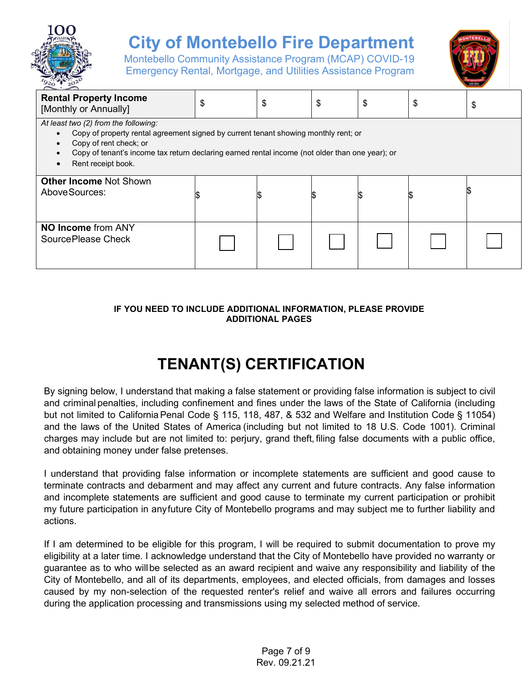

Montebello Community Assistance Program (MCAP) COVID-19 Emergency Rental, Mortgage, and Utilities Assistance Program



| <b>Rental Property Income</b><br>[Monthly or Annually]                                                                                                                                                                                                                                      | \$ | \$ | \$ | \$ | \$ | \$ |
|---------------------------------------------------------------------------------------------------------------------------------------------------------------------------------------------------------------------------------------------------------------------------------------------|----|----|----|----|----|----|
| At least two (2) from the following:<br>Copy of property rental agreement signed by current tenant showing monthly rent; or<br>Copy of rent check; or<br>Copy of tenant's income tax return declaring earned rental income (not older than one year); or<br>Rent receipt book.<br>$\bullet$ |    |    |    |    |    |    |
| <b>Other Income Not Shown</b><br>Above Sources:                                                                                                                                                                                                                                             |    |    | P. |    |    |    |
| <b>NO Income from ANY</b><br>Source Please Check                                                                                                                                                                                                                                            |    |    |    |    |    |    |

#### **IF YOU NEED TO INCLUDE ADDITIONAL INFORMATION, PLEASE PROVIDE ADDITIONAL PAGES**

### **TENANT(S) CERTIFICATION**

By signing below, I understand that making a false statement or providing false information is subject to civil and criminal penalties, including confinement and fines under the laws of the State of California (including but not limited to California Penal Code § 115, 118, 487, & 532 and Welfare and Institution Code § 11054) and the laws of the United States of America (including but not limited to 18 U.S. Code 1001). Criminal charges may include but are not limited to: perjury, grand theft, filing false documents with a public office, and obtaining money under false pretenses.

I understand that providing false information or incomplete statements are sufficient and good cause to terminate contracts and debarment and may affect any current and future contracts. Any false information and incomplete statements are sufficient and good cause to terminate my current participation or prohibit my future participation in anyfuture City of Montebello programs and may subject me to further liability and actions.

If I am determined to be eligible for this program, I will be required to submit documentation to prove my eligibility at a later time. I acknowledge understand that the City of Montebello have provided no warranty or guarantee as to who willbe selected as an award recipient and waive any responsibility and liability of the City of Montebello, and all of its departments, employees, and elected officials, from damages and losses caused by my non-selection of the requested renter's relief and waive all errors and failures occurring during the application processing and transmissions using my selected method of service.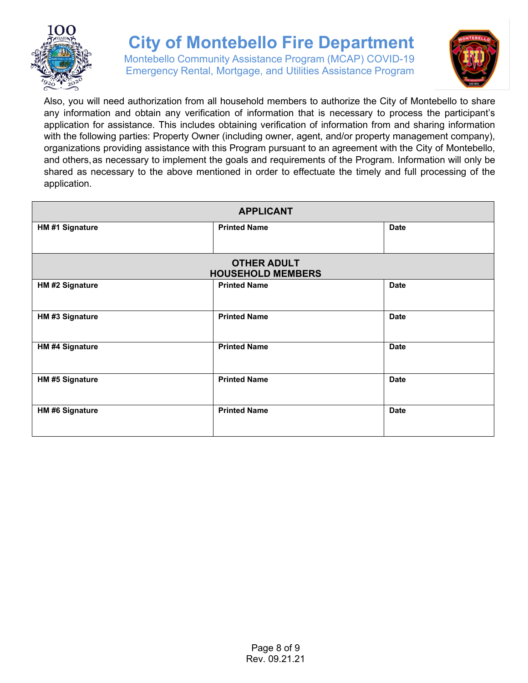

Montebello Community Assistance Program (MCAP) COVID-19 Emergency Rental, Mortgage, and Utilities Assistance Program



Also, you will need authorization from all household members to authorize the City of Montebello to share any information and obtain any verification of information that is necessary to process the participant's application for assistance. This includes obtaining verification of information from and sharing information with the following parties: Property Owner (including owner, agent, and/or property management company), organizations providing assistance with this Program pursuant to an agreement with the City of Montebello, and others,as necessary to implement the goals and requirements of the Program. Information will only be shared as necessary to the above mentioned in order to effectuate the timely and full processing of the application.

| <b>APPLICANT</b>       |                                                |             |  |  |  |
|------------------------|------------------------------------------------|-------------|--|--|--|
| HM #1 Signature        | <b>Printed Name</b>                            | <b>Date</b> |  |  |  |
|                        | <b>OTHER ADULT</b><br><b>HOUSEHOLD MEMBERS</b> |             |  |  |  |
| HM #2 Signature        | <b>Printed Name</b>                            | <b>Date</b> |  |  |  |
| HM #3 Signature        | <b>Printed Name</b>                            | <b>Date</b> |  |  |  |
| HM #4 Signature        | <b>Printed Name</b>                            | <b>Date</b> |  |  |  |
| <b>HM #5 Signature</b> | <b>Printed Name</b>                            | <b>Date</b> |  |  |  |
| <b>HM #6 Signature</b> | <b>Printed Name</b>                            | <b>Date</b> |  |  |  |